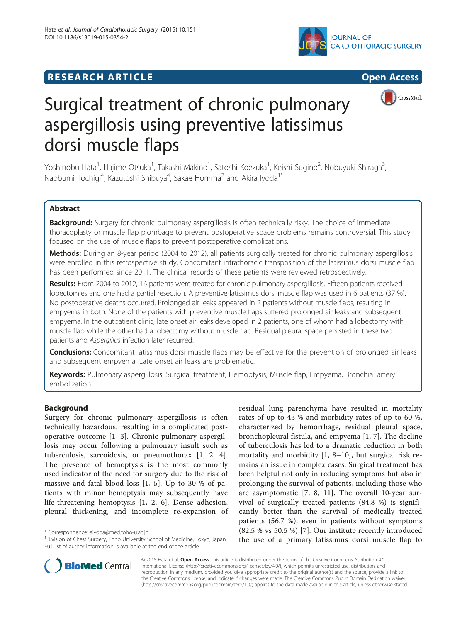





# Surgical treatment of chronic pulmonary aspergillosis using preventive latissimus dorsi muscle flaps

Yoshinobu Hata<sup>1</sup>, Hajime Otsuka<sup>1</sup>, Takashi Makino<sup>1</sup>, Satoshi Koezuka<sup>1</sup>, Keishi Sugino<sup>2</sup>, Nobuyuki Shiraga<sup>3</sup> , Naobumi Tochigi<sup>4</sup>, Kazutoshi Shibuya<sup>4</sup>, Sakae Homma<sup>2</sup> and Akira Iyoda<sup>1\*</sup>

# Abstract

Background: Surgery for chronic pulmonary aspergillosis is often technically risky. The choice of immediate thoracoplasty or muscle flap plombage to prevent postoperative space problems remains controversial. This study focused on the use of muscle flaps to prevent postoperative complications.

Methods: During an 8-year period (2004 to 2012), all patients surgically treated for chronic pulmonary aspergillosis were enrolled in this retrospective study. Concomitant intrathoracic transposition of the latissimus dorsi muscle flap has been performed since 2011. The clinical records of these patients were reviewed retrospectively.

Results: From 2004 to 2012, 16 patients were treated for chronic pulmonary aspergillosis. Fifteen patients received lobectomies and one had a partial resection. A preventive latissimus dorsi muscle flap was used in 6 patients (37 %). No postoperative deaths occurred. Prolonged air leaks appeared in 2 patients without muscle flaps, resulting in empyema in both. None of the patients with preventive muscle flaps suffered prolonged air leaks and subsequent empyema. In the outpatient clinic, late onset air leaks developed in 2 patients, one of whom had a lobectomy with muscle flap while the other had a lobectomy without muscle flap. Residual pleural space persisted in these two patients and Aspergillus infection later recurred.

Conclusions: Concomitant latissimus dorsi muscle flaps may be effective for the prevention of prolonged air leaks and subsequent empyema. Late onset air leaks are problematic.

Keywords: Pulmonary aspergillosis, Surgical treatment, Hemoptysis, Muscle flap, Empyema, Bronchial artery embolization

## Background

Surgery for chronic pulmonary aspergillosis is often technically hazardous, resulting in a complicated postoperative outcome [[1](#page-6-0)–[3\]](#page-6-0). Chronic pulmonary aspergillosis may occur following a pulmonary insult such as tuberculosis, sarcoidosis, or pneumothorax [[1](#page-6-0), [2](#page-6-0), [4](#page-6-0)]. The presence of hemoptysis is the most commonly used indicator of the need for surgery due to the risk of massive and fatal blood loss [[1, 5](#page-6-0)]. Up to 30 % of patients with minor hemoptysis may subsequently have life-threatening hemoptysis [[1, 2](#page-6-0), [6](#page-6-0)]. Dense adhesion, pleural thickening, and incomplete re-expansion of residual lung parenchyma have resulted in mortality rates of up to 43 % and morbidity rates of up to 60 %, characterized by hemorrhage, residual pleural space, bronchopleural fistula, and empyema [\[1](#page-6-0), [7](#page-6-0)]. The decline of tuberculosis has led to a dramatic reduction in both mortality and morbidity [\[1](#page-6-0), [8](#page-6-0)–[10](#page-6-0)], but surgical risk remains an issue in complex cases. Surgical treatment has been helpful not only in reducing symptoms but also in prolonging the survival of patients, including those who are asymptomatic [\[7](#page-6-0), [8](#page-6-0), [11](#page-6-0)]. The overall 10-year survival of surgically treated patients (84.8 %) is significantly better than the survival of medically treated patients (56.7 %), even in patients without symptoms (82.5 % vs 50.5 %) [\[7](#page-6-0)]. Our institute recently introduced the use of a primary latissimus dorsi muscle flap to



© 2015 Hata et al. Open Access This article is distributed under the terms of the Creative Commons Attribution 4.0 International License [\(http://creativecommons.org/licenses/by/4.0/](http://creativecommons.org/licenses/by/4.0/)), which permits unrestricted use, distribution, and reproduction in any medium, provided you give appropriate credit to the original author(s) and the source, provide a link to the Creative Commons license, and indicate if changes were made. The Creative Commons Public Domain Dedication waiver [\(http://creativecommons.org/publicdomain/zero/1.0/](http://creativecommons.org/publicdomain/zero/1.0/)) applies to the data made available in this article, unless otherwise stated.

<sup>\*</sup> Correspondence: [aiyoda@med.toho-u.ac.jp](mailto:aiyoda@med.toho-u.ac.jp) <sup>1</sup>

<sup>&</sup>lt;sup>1</sup> Division of Chest Surgery, Toho University School of Medicine, Tokyo, Japan Full list of author information is available at the end of the article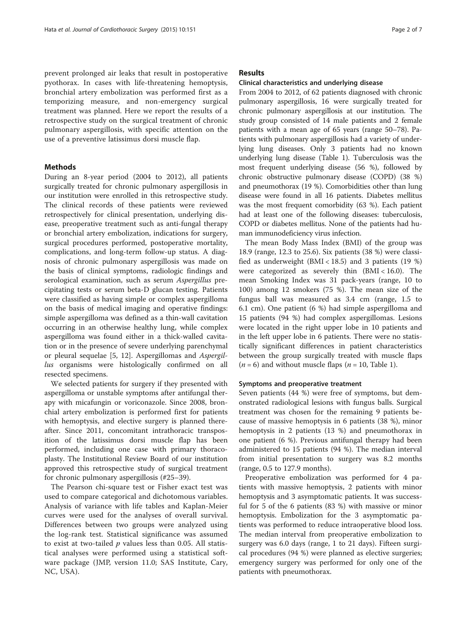prevent prolonged air leaks that result in postoperative pyothorax. In cases with life-threatening hemoptysis, bronchial artery embolization was performed first as a temporizing measure, and non-emergency surgical treatment was planned. Here we report the results of a retrospective study on the surgical treatment of chronic pulmonary aspergillosis, with specific attention on the use of a preventive latissimus dorsi muscle flap.

## Methods

During an 8-year period (2004 to 2012), all patients surgically treated for chronic pulmonary aspergillosis in our institution were enrolled in this retrospective study. The clinical records of these patients were reviewed retrospectively for clinical presentation, underlying disease, preoperative treatment such as anti-fungal therapy or bronchial artery embolization, indications for surgery, surgical procedures performed, postoperative mortality, complications, and long-term follow-up status. A diagnosis of chronic pulmonary aspergillosis was made on the basis of clinical symptoms, radiologic findings and serological examination, such as serum Aspergillus precipitating tests or serum beta-D glucan testing. Patients were classified as having simple or complex aspergilloma on the basis of medical imaging and operative findings: simple aspergilloma was defined as a thin-wall cavitation occurring in an otherwise healthy lung, while complex aspergilloma was found either in a thick-walled cavitation or in the presence of severe underlying parenchymal or pleural sequelae [\[5](#page-6-0), [12](#page-6-0)]. Aspergillomas and Aspergillus organisms were histologically confirmed on all resected specimens.

We selected patients for surgery if they presented with aspergilloma or unstable symptoms after antifungal therapy with micafungin or voriconazole. Since 2008, bronchial artery embolization is performed first for patients with hemoptysis, and elective surgery is planned thereafter. Since 2011, concomitant intrathoracic transposition of the latissimus dorsi muscle flap has been performed, including one case with primary thoracoplasty. The Institutional Review Board of our institution approved this retrospective study of surgical treatment for chronic pulmonary aspergillosis (#25–39).

The Pearson chi-square test or Fisher exact test was used to compare categorical and dichotomous variables. Analysis of variance with life tables and Kaplan-Meier curves were used for the analyses of overall survival. Differences between two groups were analyzed using the log-rank test. Statistical significance was assumed to exist at two-tailed  $p$  values less than 0.05. All statistical analyses were performed using a statistical software package (JMP, version 11.0; SAS Institute, Cary, NC, USA).

## Results

## Clinical characteristics and underlying disease

From 2004 to 2012, of 62 patients diagnosed with chronic pulmonary aspergillosis, 16 were surgically treated for chronic pulmonary aspergillosis at our institution. The study group consisted of 14 male patients and 2 female patients with a mean age of 65 years (range 50–78). Patients with pulmonary aspergillosis had a variety of underlying lung diseases. Only 3 patients had no known underlying lung disease (Table [1\)](#page-2-0). Tuberculosis was the most frequent underlying disease (56 %), followed by chronic obstructive pulmonary disease (COPD) (38 %) and pneumothorax (19 %). Comorbidities other than lung disease were found in all 16 patients. Diabetes mellitus was the most frequent comorbidity (63 %). Each patient had at least one of the following diseases: tuberculosis, COPD or diabetes mellitus. None of the patients had human immunodeficiency virus infection.

The mean Body Mass Index (BMI) of the group was 18.9 (range, 12.3 to 25.6). Six patients (38 %) were classified as underweight  $(BMI < 18.5)$  and 3 patients  $(19\%)$ were categorized as severely thin (BMI < 16.0). The mean Smoking Index was 31 pack-years (range, 10 to 100) among 12 smokers (75 %). The mean size of the fungus ball was measured as 3.4 cm (range, 1.5 to 6.1 cm). One patient (6 %) had simple aspergilloma and 15 patients (94 %) had complex aspergillomas. Lesions were located in the right upper lobe in 10 patients and in the left upper lobe in 6 patients. There were no statistically significant differences in patient characteristics between the group surgically treated with muscle flaps  $(n = 6)$  and without muscle flaps  $(n = 10,$  Table [1\)](#page-2-0).

## Symptoms and preoperative treatment

Seven patients (44 %) were free of symptoms, but demonstrated radiological lesions with fungus balls. Surgical treatment was chosen for the remaining 9 patients because of massive hemoptysis in 6 patients (38 %), minor hemoptysis in 2 patients (13 %) and pneumothorax in one patient (6 %). Previous antifungal therapy had been administered to 15 patients (94 %). The median interval from initial presentation to surgery was 8.2 months (range, 0.5 to 127.9 months).

Preoperative embolization was performed for 4 patients with massive hemoptysis, 2 patients with minor hemoptysis and 3 asymptomatic patients. It was successful for 5 of the 6 patients (83 %) with massive or minor hemoptysis. Embolization for the 3 asymptomatic patients was performed to reduce intraoperative blood loss. The median interval from preoperative embolization to surgery was 6.0 days (range, 1 to 21 days). Fifteen surgical procedures (94 %) were planned as elective surgeries; emergency surgery was performed for only one of the patients with pneumothorax.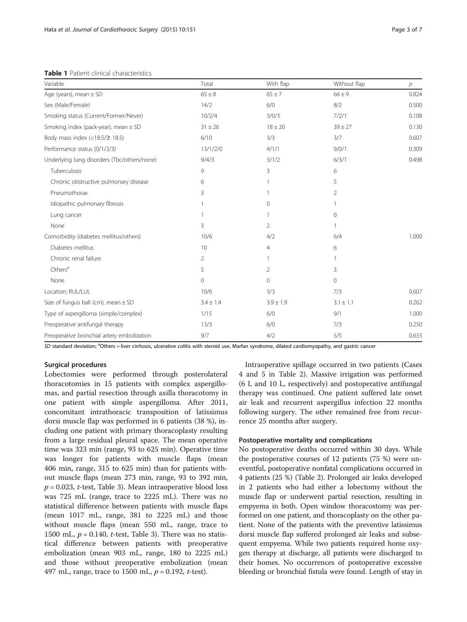<span id="page-2-0"></span>

| Variable                                      | Total          | With flap      | Without flap   | р     |
|-----------------------------------------------|----------------|----------------|----------------|-------|
| Age (years), mean $\pm$ SD                    | $65 \pm 8$     | $65 \pm 7$     | $66 \pm 9$     | 0.824 |
| Sex (Male/Female)                             | 14/2           | 6/0            | 8/2            | 0.500 |
| Smoking status (Current/Former/Never)         | 10/2/4         | 3/0/3          | 7/2/1          | 0.108 |
| Smoking index (pack-year), mean $\pm$ SD      | $31 \pm 26$    | $18 \pm 20$    | $39 \pm 27$    | 0.130 |
| Body mass index $\left($ < 18.5/ $\geq$ 18.5) | 6/10           | 3/3            | 3/7            | 0.607 |
| Performance status (0/1/2/3)                  | 13/1/2/0       | 4/1/1          | 9/0/1          | 0.309 |
| Underlying lung disorders (Tbc/others/none)   | 9/4/3          | 3/1/2          | 6/3/1          | 0.498 |
| Tuberculosis                                  | 9              | 3              | 6              |       |
| Chronic obstructive pulmonary disease         | 6              |                | 5              |       |
| Pneumothorax                                  | 3              |                | $\overline{2}$ |       |
| Idiopathic pulmonary fibrosis                 |                | 0              |                |       |
| Lung cancer                                   |                | 1              | $\circ$        |       |
| None                                          | 3              | $\overline{2}$ |                |       |
| Comorbidity (diabetes mellitus/others)        | 10/6           | 4/2            | 6/4            | 1.000 |
| Diabetes mellitus                             | 10             | 4              | 6              |       |
| Chronic renal failure                         | $\overline{2}$ | 1              |                |       |
| Others <sup>a</sup>                           | 5              | $\overline{2}$ | 3              |       |
| None                                          | $\mathbf{0}$   | 0              | 0              |       |
| Location; RUL/LUL                             | 10/6           | 3/3            | 7/3            | 0.607 |
| Size of fungus ball (cm), mean $\pm$ SD       | $3.4 \pm 1.4$  | $3.9 \pm 1.9$  | $3.1 \pm 1.1$  | 0.262 |
| Type of aspergilloma (simple/complex)         | 1/15           | 6/0            | 9/1            | 1.000 |
| Preoperative antifungal therapy               | 13/3           | 6/0            | 7/3            | 0.250 |
| Preoperative bronchial artery embolization    | 9/7            | 4/2            | 5/5            | 0.633 |

SD standard deviation; <sup>a</sup>Others = liver cirrhosis, ulcerative colitis with steroid use, Marfan syndrome, dilated cardiomyopathy, and gastric cancer

### Surgical procedures

Lobectomies were performed through posterolateral thoracotomies in 15 patients with complex aspergillomas, and partial resection through axilla thoracotomy in one patient with simple aspergilloma. After 2011, concomitant intrathoracic transposition of latissimus dorsi muscle flap was performed in 6 patients (38 %), including one patient with primary thoracoplasty resulting from a large residual pleural space. The mean operative time was 323 min (range, 93 to 625 min). Operative time was longer for patients with muscle flaps (mean 406 min, range, 315 to 625 min) than for patients without muscle flaps (mean 273 min, range, 93 to 392 min,  $p = 0.023$ , *t*-test, Table [3](#page-4-0)). Mean intraoperative blood loss was 725 mL (range, trace to 2225 mL). There was no statistical difference between patients with muscle flaps (mean 1017 mL, range, 381 to 2225 mL) and those without muscle flaps (mean 550 mL, range, trace to 1500 mL,  $p = 0.140$ , *t*-test, Table [3](#page-4-0)). There was no statistical difference between patients with preoperative embolization (mean 903 mL, range, 180 to 2225 mL) and those without preoperative embolization (mean 497 mL, range, trace to 1500 mL,  $p = 0.192$ , t-test).

Intraoperative spillage occurred in two patients (Cases 4 and 5 in Table [2\)](#page-3-0). Massive irrigation was performed (6 L and 10 L, respectively) and postoperative antifungal therapy was continued. One patient suffered late onset air leak and recurrent aspergillus infection 22 months following surgery. The other remained free from recurrence 25 months after surgery.

#### Postoperative mortality and complications

No postoperative deaths occurred within 30 days. While the postoperative courses of 12 patients (75 %) were uneventful, postoperative nonfatal complications occurred in 4 patients (25 %) (Table [2](#page-3-0)). Prolonged air leaks developed in 2 patients who had either a lobectomy without the muscle flap or underwent partial resection, resulting in empyema in both. Open window thoracostomy was performed on one patient, and thoracoplasty on the other patient. None of the patients with the preventive latissimus dorsi muscle flap suffered prolonged air leaks and subsequent empyema. While two patients required home oxygen therapy at discharge, all patients were discharged to their homes. No occurrences of postoperative excessive bleeding or bronchial fistula were found. Length of stay in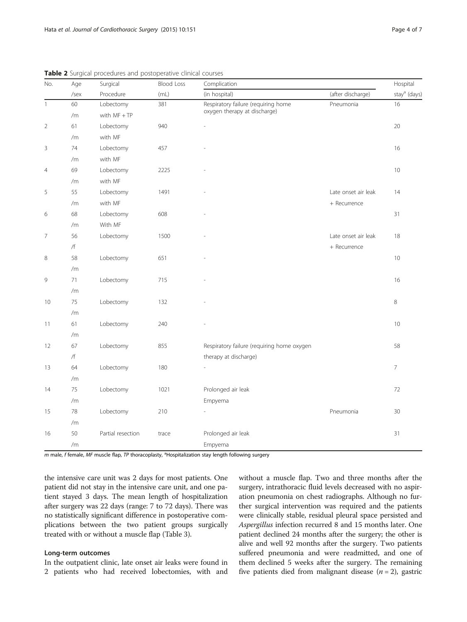| No.            | Age  | Surgical<br>Procedure | <b>Blood Loss</b><br>(mL) | Complication                               | Hospital            |                          |  |
|----------------|------|-----------------------|---------------------------|--------------------------------------------|---------------------|--------------------------|--|
|                | /sex |                       |                           | (in hospital)                              | (after discharge)   | stay <sup>a</sup> (days) |  |
| $\mathbf{1}$   | 60   | Lobectomy             | 381                       | Respiratory failure (requiring home        | Pneumonia           | 16                       |  |
|                | /m   | with $MF + TP$        |                           | oxygen therapy at discharge)               |                     |                          |  |
| $\overline{2}$ | 61   | Lobectomy             | 940                       |                                            |                     | 20                       |  |
|                | /m   | with MF               |                           |                                            |                     |                          |  |
| 3              | 74   | Lobectomy             | 457                       |                                            |                     | 16                       |  |
|                | /m   | with MF               |                           |                                            |                     |                          |  |
| $\overline{4}$ | 69   | Lobectomy             | 2225                      |                                            |                     | 10                       |  |
|                | /m   | with MF               |                           |                                            |                     |                          |  |
| 5              | 55   | Lobectomy             | 1491                      |                                            | Late onset air leak | 14                       |  |
|                | /m   | with MF               |                           |                                            | + Recurrence        |                          |  |
| 6              | 68   | Lobectomy             | 608                       |                                            |                     | 31                       |  |
|                | /m   | With MF               |                           |                                            |                     |                          |  |
| $\overline{7}$ | 56   | Lobectomy             | 1500                      |                                            | Late onset air leak | 18                       |  |
|                | /f   |                       |                           |                                            | + Recurrence        |                          |  |
| $\,8$          | 58   | Lobectomy             | 651                       |                                            |                     | 10                       |  |
|                | /m   |                       |                           |                                            |                     |                          |  |
| 9              | 71   | Lobectomy             | 715                       |                                            |                     | 16                       |  |
|                | /m   |                       |                           |                                            |                     |                          |  |
| 10             | 75   | Lobectomy             | 132                       |                                            |                     | 8                        |  |
|                | /m   |                       |                           |                                            |                     |                          |  |
| 11             | 61   | Lobectomy             | 240                       |                                            |                     | 10                       |  |
|                | /m   |                       |                           |                                            |                     |                          |  |
| 12             | 67   | Lobectomy             | 855                       | Respiratory failure (requiring home oxygen |                     | 58                       |  |
|                | /f   |                       |                           | therapy at discharge)                      |                     |                          |  |
| 13             | 64   | Lobectomy             | 180                       |                                            |                     | $\overline{7}$           |  |
|                | /m   |                       |                           |                                            |                     |                          |  |
| 14             | 75   | Lobectomy             | 1021                      | Prolonged air leak                         |                     | 72                       |  |
|                | /m   |                       |                           | Empyema                                    |                     |                          |  |
| 15             | 78   | Lobectomy             | 210                       |                                            | Pneumonia           | 30                       |  |
|                | /m   |                       |                           |                                            |                     |                          |  |
| 16             | 50   | Partial resection     | trace                     | Prolonged air leak                         |                     | 31                       |  |
|                | /m   |                       |                           | Empyema                                    |                     |                          |  |

<span id="page-3-0"></span>**Table 2** Surgical procedures and postoperative clinical courses

m male, f female, MF muscle flap, TP thoracoplasty, <sup>a</sup>Hospitalization stay length following surgery

the intensive care unit was 2 days for most patients. One patient did not stay in the intensive care unit, and one patient stayed 3 days. The mean length of hospitalization after surgery was 22 days (range: 7 to 72 days). There was no statistically significant difference in postoperative complications between the two patient groups surgically treated with or without a muscle flap (Table [3](#page-4-0)).

## Long-term outcomes

In the outpatient clinic, late onset air leaks were found in 2 patients who had received lobectomies, with and without a muscle flap. Two and three months after the surgery, intrathoracic fluid levels decreased with no aspiration pneumonia on chest radiographs. Although no further surgical intervention was required and the patients were clinically stable, residual pleural space persisted and Aspergillus infection recurred 8 and 15 months later. One patient declined 24 months after the surgery; the other is alive and well 92 months after the surgery. Two patients suffered pneumonia and were readmitted, and one of them declined 5 weeks after the surgery. The remaining five patients died from malignant disease  $(n = 2)$ , gastric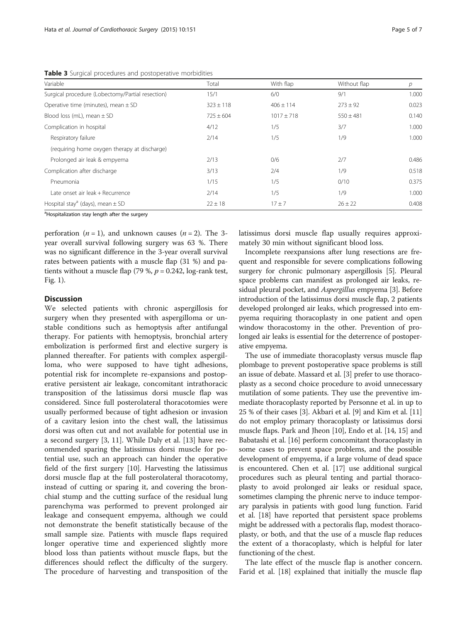<span id="page-4-0"></span>**Table 3** Surgical procedures and postoperative morbidities

| Variable                                         | Total         | With flap     | Without flap  | р     |
|--------------------------------------------------|---------------|---------------|---------------|-------|
| Surgical procedure (Lobectomy/Partial resection) | 15/1          | 6/0           | 9/1           | 1.000 |
| Operative time (minutes), mean $\pm$ SD          | $323 \pm 118$ | $406 \pm 114$ | $273 \pm 92$  | 0.023 |
| Blood loss (mL), mean $\pm$ SD                   | $725 \pm 604$ | $1017 + 718$  | $550 \pm 481$ | 0.140 |
| Complication in hospital                         | 4/12          | 1/5           | 3/7           | 1.000 |
| Respiratory failure                              | 2/14          | 1/5           | 1/9           | 1.000 |
| (requiring home oxygen therapy at discharge)     |               |               |               |       |
| Prolonged air leak & empyema                     | 2/13          | 0/6           | 2/7           | 0.486 |
| Complication after discharge                     | 3/13          | 2/4           | 1/9           | 0.518 |
| Pneumonia                                        | 1/15          | 1/5           | 0/10          | 0.375 |
| Late onset air leak + Recurrence                 | 2/14          | 1/5           | 1/9           | 1.000 |
| Hospital stay <sup>a</sup> (days), mean $\pm$ SD | $22 \pm 18$   | $17 \pm 7$    | $26 \pm 22$   | 0.408 |

<sup>a</sup>Hospitalization stay length after the surgery

perforation  $(n = 1)$ , and unknown causes  $(n = 2)$ . The 3year overall survival following surgery was 63 %. There was no significant difference in the 3-year overall survival rates between patients with a muscle flap (31 %) and patients without a muscle flap (79 %,  $p = 0.242$ , log-rank test, Fig. [1](#page-5-0)).

## **Discussion**

We selected patients with chronic aspergillosis for surgery when they presented with aspergilloma or unstable conditions such as hemoptysis after antifungal therapy. For patients with hemoptysis, bronchial artery embolization is performed first and elective surgery is planned thereafter. For patients with complex aspergilloma, who were supposed to have tight adhesions, potential risk for incomplete re-expansions and postoperative persistent air leakage, concomitant intrathoracic transposition of the latissimus dorsi muscle flap was considered. Since full posterolateral thoracotomies were usually performed because of tight adhesion or invasion of a cavitary lesion into the chest wall, the latissimus dorsi was often cut and not available for potential use in a second surgery [\[3](#page-6-0), [11](#page-6-0)]. While Daly et al. [[13](#page-6-0)] have recommended sparing the latissimus dorsi muscle for potential use, such an approach can hinder the operative field of the first surgery [\[10](#page-6-0)]. Harvesting the latissimus dorsi muscle flap at the full posterolateral thoracotomy, instead of cutting or sparing it, and covering the bronchial stump and the cutting surface of the residual lung parenchyma was performed to prevent prolonged air leakage and consequent empyema, although we could not demonstrate the benefit statistically because of the small sample size. Patients with muscle flaps required longer operative time and experienced slightly more blood loss than patients without muscle flaps, but the differences should reflect the difficulty of the surgery. The procedure of harvesting and transposition of the latissimus dorsi muscle flap usually requires approximately 30 min without significant blood loss.

Incomplete reexpansions after lung resections are frequent and responsible for severe complications following surgery for chronic pulmonary aspergillosis [[5](#page-6-0)]. Pleural space problems can manifest as prolonged air leaks, residual pleural pocket, and *Aspergillus* empyema [\[3\]](#page-6-0). Before introduction of the latissimus dorsi muscle flap, 2 patients developed prolonged air leaks, which progressed into empyema requiring thoracoplasty in one patient and open window thoracostomy in the other. Prevention of prolonged air leaks is essential for the deterrence of postoperative empyema.

The use of immediate thoracoplasty versus muscle flap plombage to prevent postoperative space problems is still an issue of debate. Massard et al. [\[3](#page-6-0)] prefer to use thoracoplasty as a second choice procedure to avoid unnecessary mutilation of some patients. They use the preventive immediate thoracoplasty reported by Personne et al. in up to 25 % of their cases [\[3](#page-6-0)]. Akbari et al. [[9\]](#page-6-0) and Kim et al. [[11](#page-6-0)] do not employ primary thoracoplasty or latissimus dorsi muscle flaps. Park and Jheon [[10](#page-6-0)], Endo et al. [\[14](#page-6-0), [15\]](#page-6-0) and Babatashi et al. [[16](#page-6-0)] perform concomitant thoracoplasty in some cases to prevent space problems, and the possible development of empyema, if a large volume of dead space is encountered. Chen et al. [[17](#page-6-0)] use additional surgical procedures such as pleural tenting and partial thoracoplasty to avoid prolonged air leaks or residual space, sometimes clamping the phrenic nerve to induce temporary paralysis in patients with good lung function. Farid et al. [\[18\]](#page-6-0) have reported that persistent space problems might be addressed with a pectoralis flap, modest thoracoplasty, or both, and that the use of a muscle flap reduces the extent of a thoracoplasty, which is helpful for later functioning of the chest.

The late effect of the muscle flap is another concern. Farid et al. [\[18\]](#page-6-0) explained that initially the muscle flap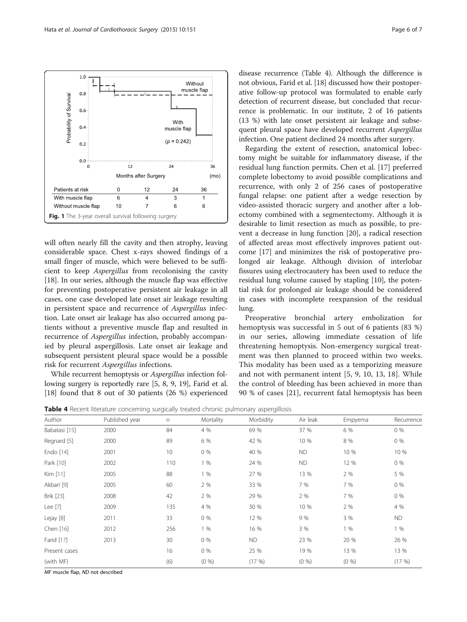<span id="page-5-0"></span>

will often nearly fill the cavity and then atrophy, leaving considerable space. Chest x-rays showed findings of a small finger of muscle, which were believed to be sufficient to keep Aspergillus from recolonising the cavity [[18\]](#page-6-0). In our series, although the muscle flap was effective for preventing postoperative persistent air leakage in all cases, one case developed late onset air leakage resulting in persistent space and recurrence of Aspergillus infection. Late onset air leakage has also occurred among patients without a preventive muscle flap and resulted in recurrence of Aspergillus infection, probably accompanied by pleural aspergillosis. Late onset air leakage and subsequent persistent pleural space would be a possible risk for recurrent Aspergillus infections.

While recurrent hemoptysis or Aspergillus infection following surgery is reportedly rare [[5, 8](#page-6-0), [9, 19\]](#page-6-0), Farid et al. [[18](#page-6-0)] found that 8 out of 30 patients (26 %) experienced disease recurrence (Table 4). Although the difference is not obvious, Farid et al. [[18](#page-6-0)] discussed how their postoperative follow-up protocol was formulated to enable early detection of recurrent disease, but concluded that recurrence is problematic. In our institute, 2 of 16 patients (13 %) with late onset persistent air leakage and subsequent pleural space have developed recurrent Aspergillus infection. One patient declined 24 months after surgery.

Regarding the extent of resection, anatomical lobectomy might be suitable for inflammatory disease, if the residual lung function permits. Chen et al. [[17\]](#page-6-0) preferred complete lobectomy to avoid possible complications and recurrence, with only 2 of 256 cases of postoperative fungal relapse: one patient after a wedge resection by video-assisted thoracic surgery and another after a lobectomy combined with a segmentectomy. Although it is desirable to limit resection as much as possible, to prevent a decrease in lung function [[20\]](#page-6-0), a radical resection of affected areas most effectively improves patient outcome [[17\]](#page-6-0) and minimizes the risk of postoperative prolonged air leakage. Although division of interlobar fissures using electrocautery has been used to reduce the residual lung volume caused by stapling [[10\]](#page-6-0), the potential risk for prolonged air leakage should be considered in cases with incomplete reexpansion of the residual lung.

Preoperative bronchial artery embolization for hemoptysis was successful in 5 out of 6 patients (83 %) in our series, allowing immediate cessation of life threatening hemoptysis. Non-emergency surgical treatment was then planned to proceed within two weeks. This modality has been used as a temporizing measure and not with permanent intent [\[5](#page-6-0), [9, 10](#page-6-0), [13, 18\]](#page-6-0). While the control of bleeding has been achieved in more than 90 % of cases [\[21](#page-6-0)], recurrent fatal hemoptysis has been

Table 4 Recent literature concerning surgically treated chronic pulmonary aspergillosis

| Author        | Published year | $\mathsf{n}$ | Mortality | Morbidity | Air leak  | Empyema | Recurrence |
|---------------|----------------|--------------|-----------|-----------|-----------|---------|------------|
| Babatasi [15] | 2000           | 84           | 4 %       | 69 %      | 37 %      | 6 %     | 0%         |
| Regnard [5]   | 2000           | 89           | 6 %       | 42 %      | 10 %      | 8 %     | 0 %        |
| Endo [14]     | 2001           | 10           | 0 %       | 40 %      | <b>ND</b> | 10 %    | 10 %       |
| Park [10]     | 2002           | 110          | 1%        | 24 %      | <b>ND</b> | 12 %    | 0%         |
| Kim [11]      | 2005           | 88           | 1%        | 27 %      | 13 %      | 2 %     | 5 %        |
| Akbari [9]    | 2005           | 60           | 2 %       | 33 %      | 7 %       | 7 %     | 0%         |
| Brik [23]     | 2008           | 42           | 2 %       | 29 %      | 2 %       | 7 %     | 0%         |
| Lee [7]       | 2009           | 135          | 4 %       | 30 %      | 10 %      | 2 %     | 4 %        |
| Lejay [8]     | 2011           | 33           | 0 %       | 12 %      | 9 %       | 3 %     | <b>ND</b>  |
| Chen [16]     | 2012           | 256          | 1%        | 16 %      | 3 %       | 1%      | 1%         |
| Farid [17]    | 2013           | 30           | 0 %       | ND.       | 23 %      | 20 %    | 26 %       |
| Present cases |                | 16           | 0 %       | 25 %      | 19 %      | 13 %    | 13 %       |
| (with MF)     |                | (6)          | (0, 96)   | (17%)     | (0, 96)   | (0, 96) | (17%)      |

MF muscle flap, ND not described